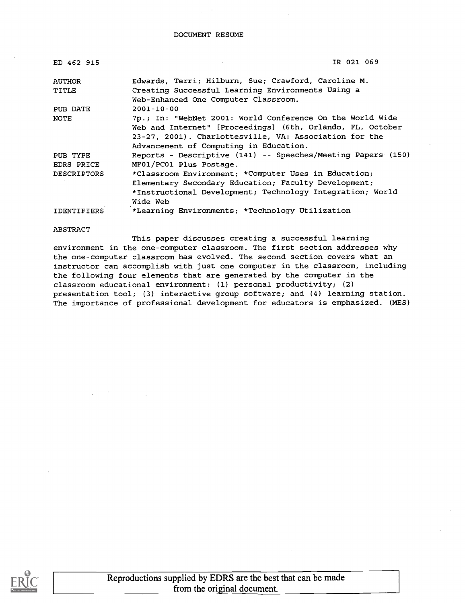#### DOCUMENT RESUME

| ED 462 915         | IR 021 069                                                   |  |
|--------------------|--------------------------------------------------------------|--|
| <b>AUTHOR</b>      | Edwards, Terri; Hilburn, Sue; Crawford, Caroline M.          |  |
| TITLE              | Creating Successful Learning Environments Using a            |  |
|                    | Web-Enhanced One Computer Classroom.                         |  |
| PUB DATE           | $2001 - 10 - 00$                                             |  |
| NOTE               | 7p.; In: "WebNet 2001: World Conference On the World Wide    |  |
|                    | Web and Internet" [Proceedings] (6th, Orlando, FL, October   |  |
|                    | 23-27, 2001). Charlottesville, VA: Association for the       |  |
|                    | Advancement of Computing in Education.                       |  |
| PUB TYPE           | Reports - Descriptive (141) -- Speeches/Meeting Papers (150) |  |
| EDRS PRICE         | MF01/PC01 Plus Postage.                                      |  |
| <b>DESCRIPTORS</b> | *Classroom Environment; *Computer Uses in Education;         |  |
|                    | Elementary Secondary Education; Faculty Development;         |  |
|                    | *Instructional Development; Technology Integration; World    |  |
|                    | Wide Web                                                     |  |
| <b>IDENTIFIERS</b> | *Learning Environments; *Technology Utilization              |  |

ABSTRACT

This paper discusses creating a successful learning environment in the one-computer classroom. The first section addresses why the one-computer classroom has evolved. The second section covers what an instructor can accomplish with just one computer in the classroom, including the following four elements that are generated by the computer in the classroom educational environment: (1) personal productivity; (2) presentation tool; (3) interactive group software; and (4) learning station. The importance of professional development for educators is emphasized. (MES)



Reproductions supplied by EDRS are the best that can be made from the original document.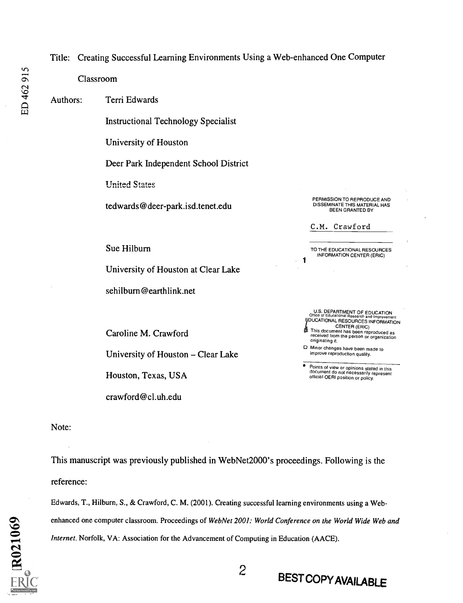### Title: Creating Successful Learning Environments Using a Web-enhanced One Computer

Classroom

ED 462 915

Authors: Terri Edwards

Instructional Technology Specialist

University of Houston

Deer Park Independent School District

**United States** 

tedwards@deer-park.isd.tenet.edu

Sue Hilburn

University of Houston at Clear Lake

sehilburn@earthlink.net

Caroline M. Crawford

University of Houston – Clear Lake

Houston, Texas, USA

crawford@cl.uh.edu

PERMISSION TO REPRODUCE AND DISSEMINATE THIS MATERIAL HAS BEEN GRANTED BY

C.M. Crawford

1

TO THE EDUCATIONAL RESOURCES INFORMATION CENTER (ERIC)

U.S. DEPARTMENT OF EDUCATION **EDUCATIONAL RESOURCES INFORMATION** 

CENTER (ERIC) This document has been reproduced as received from the person or organization originating it.

0 Minor changes have been made to improve reproduction quality.

Points of view or opinions stated in this document do not necessarily represent official OERI position or policy.

Note:

This manuscript was previously published in WebNet2000's proceedings. Following is the reference:

Edwards, T., Hilburn, S., & Crawford, C. M. (2001). Creating successful learning environments using a Webenhanced one computer classroom. Proceedings of WebNet 2001: World Conference on the World Wide Web and Internet. Norfolk, VA: Association for the Advancement of Computing in Education (AACE).

2 BEST COPY AVAILABLE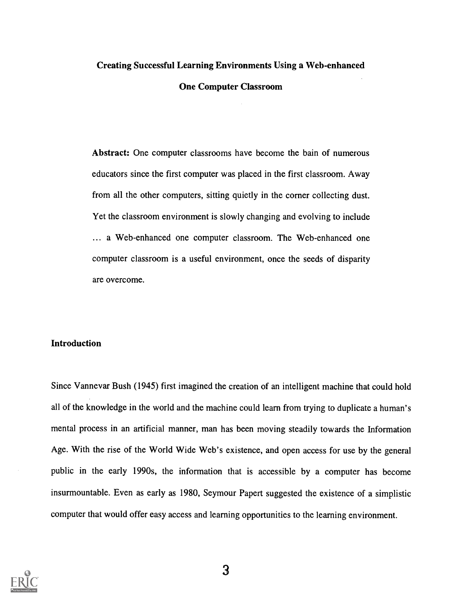# Creating Successful Learning Environments Using a Web-enhanced One Computer Classroom

Abstract: One computer classrooms have become the bain of numerous educators since the first computer was placed in the first classroom. Away from all the other computers, sitting quietly in the corner collecting dust. Yet the classroom environment is slowly changing and evolving to include ... a Web-enhanced one computer classroom. The Web-enhanced one computer classroom is a useful environment, once the seeds of disparity are overcome.

# Introduction

Since Vannevar Bush (1945) first imagined the creation of an intelligent machine that could hold all of the knowledge in the world and the machine could learn from trying to duplicate a human's mental process in an artificial manner, man has been moving steadily towards the Information Age. With the rise of the World Wide Web's existence, and open access for use by the general public in the early 1990s, the information that is accessible by a computer has become insurmountable. Even as early as 1980, Seymour Papert suggested the existence of a simplistic computer that would offer easy access and learning opportunities to the learning environment.



3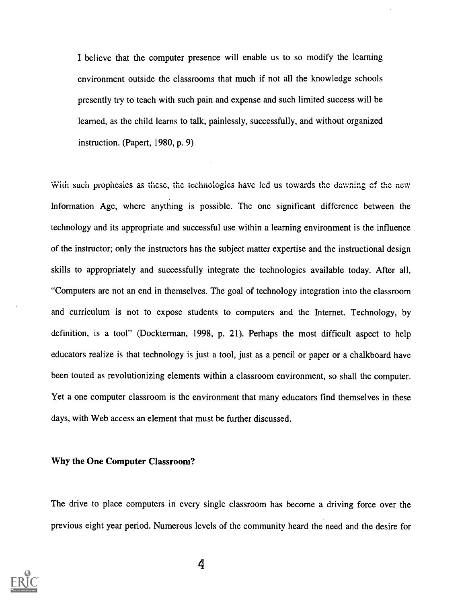I believe that the computer presence will enable us to so modify the learning environment outside the classrooms that much if not all the knowledge schools presently try to teach with such pain and expense and such limited success will be learned, as the child learns to talk, painlessly, successfully, and without organized instruction. (Papert, 1980, p. 9)

With such prophesies as these, the technologies have lcd us towards the dawning of the new Information Age, where anything is possible. The one significant difference between the technology and its appropriate and successful use within a learning environment is the influence of the instructor; only the instructors has the subject matter expertise and the instructional design skills to appropriately and successfully integrate the technologies available today. After all, "Computers are not an end in themselves. The goal of technology integration into the classroom and curriculum is not to expose students to computers and the Internet. Technology, by definition, is a tool" (Dockterman, 1998, p. 21). Perhaps the most difficult aspect to help educators realize is that technology is just a tool, just as a pencil or paper or a chalkboard have been touted as revolutionizing elements within a classroom environment, so shall the computer. Yet a one computer classroom is the environment that many educators find themselves in these days, with Web access an element that must be further discussed.

# Why the One Computer Classroom?

The drive to place computers in every single classroom has become a driving force over the previous eight year period. Numerous levels of the community heard the need and the desire for

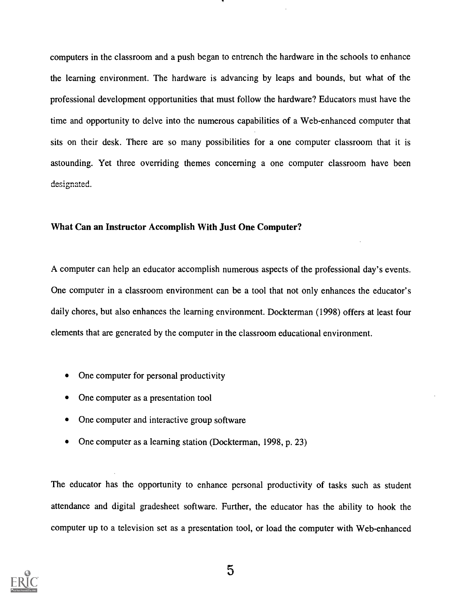computers in the classroom and a push began to entrench the hardware in the schools to enhance the learning environment. The hardware is advancing by leaps and bounds, but what of the professional development opportunities that must follow the hardware? Educators must have the time and opportunity to delve into the numerous capabilities of a Web-enhanced computer that sits on their desk. There are so many possibilities for a one computer classroom that it is astounding. Yet three overriding themes concerning a one computer classroom have been designated.

### What Can an Instructor Accomplish With Just One Computer?

A computer can help an educator accomplish numerous aspects of the professional day's events. One computer in a classroom environment can be a tool that not only enhances the educator's daily chores, but also enhances the learning environment. Dockterman (1998) offers at least four elements that are generated by the computer in the classroom educational environment.

- One computer for personal productivity
- One computer as a presentation tool
- One computer and interactive group software
- One computer as a learning station (Dockterman, 1998, p. 23)

The educator has the opportunity to enhance personal productivity of tasks such as student attendance and digital gradesheet software. Further, the educator has the ability to hook the computer up to a television set as a presentation tool, or load the computer with Web-enhanced

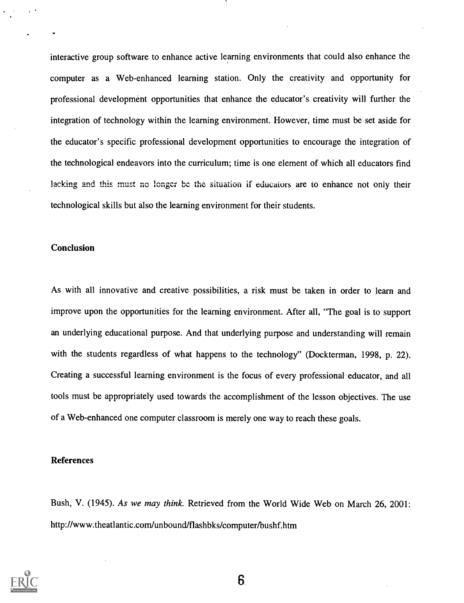interactive group software to enhance active learning environments that could also enhance the computer as a Web-enhanced learning station. Only the creativity and opportunity for professional development opportunities that enhance the educator's creativity will further the integration of technology within the learning environment. However, time must be set aside for the educator's specific professional development opportunities to encourage the integration of the technological endeavors into the curriculum; time is one element of which all educators find lacking and this must no longer be the situation if educators are to enhance not only their technological skills but also the learning environment for their students.

### Conclusion

As with all innovative and creative possibilities, a risk must be taken in order to learn and improve upon the opportunities for the learning environment. After all, "The goal is to support an underlying educational purpose. And that underlying purpose and understanding will remain with the students regardless of what happens to the technology" (Dockterman, 1998, p. 22). Creating a successful learning environment is the focus of every professional educator, and all tools must be appropriately used towards the accomplishment of the lesson objectives. The use of a Web-enhanced one computer classroom is merely one way to reach these goals.

#### References

Bush, V. (1945). As we may think. Retrieved from the World Wide Web on March 26, 2001: http://www.theatlantic.com/unbound/flashbks/computer/bushf.htm



6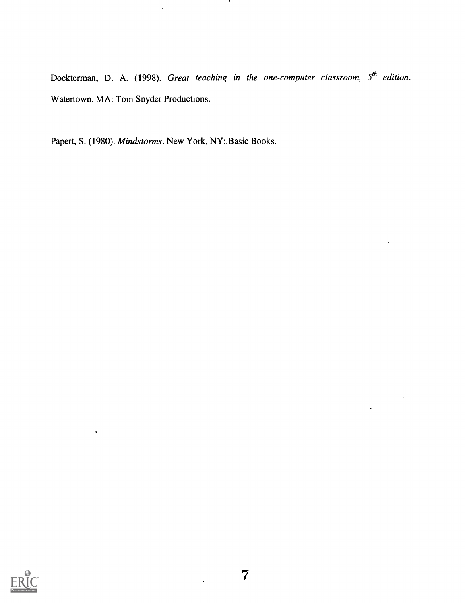Dockterman, D. A. (1998). Great teaching in the one-computer classroom,  $5<sup>th</sup>$  edition. Watertown, MA: Tom Snyder Productions.

Papert, S. (1980). Mindstorms. New York, NY: Basic Books.

 $\bar{A}$ 

 $\ddot{\phantom{a}}$ 

 $\sim 10^7$ 



 $\ddot{\phantom{0}}$ 

 $\sim$   $\sim$ 

 $\ddot{\phantom{1}}$